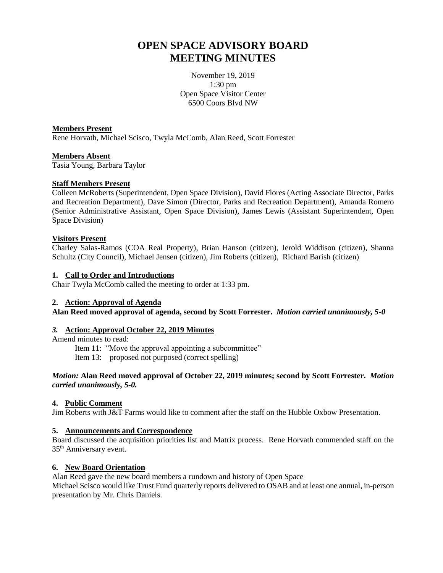# **OPEN SPACE ADVISORY BOARD MEETING MINUTES**

November 19, 2019 1:30 pm Open Space Visitor Center 6500 Coors Blvd NW

**Members Present** Rene Horvath, Michael Scisco, Twyla McComb, Alan Reed, Scott Forrester

#### **Members Absent**

Tasia Young, Barbara Taylor

#### **Staff Members Present**

Colleen McRoberts (Superintendent, Open Space Division), David Flores (Acting Associate Director, Parks and Recreation Department), Dave Simon (Director, Parks and Recreation Department), Amanda Romero (Senior Administrative Assistant, Open Space Division), James Lewis (Assistant Superintendent, Open Space Division)

#### **Visitors Present**

Charley Salas-Ramos (COA Real Property), Brian Hanson (citizen), Jerold Widdison (citizen), Shanna Schultz (City Council), Michael Jensen (citizen), Jim Roberts (citizen), Richard Barish (citizen)

#### **1. Call to Order and Introductions**

Chair Twyla McComb called the meeting to order at 1:33 pm.

#### **2. Action: Approval of Agenda**

**Alan Reed moved approval of agenda, second by Scott Forrester.** *Motion carried unanimously, 5-0*

## *3.* **Action: Approval October 22, 2019 Minutes**

Amend minutes to read:

Item 11: "Move the approval appointing a subcommittee"

Item 13: proposed not purposed (correct spelling)

#### *Motion:* **Alan Reed moved approval of October 22, 2019 minutes; second by Scott Forrester.** *Motion carried unanimously, 5-0.*

### **4. Public Comment**

Jim Roberts with J&T Farms would like to comment after the staff on the Hubble Oxbow Presentation.

#### **5. Announcements and Correspondence**

Board discussed the acquisition priorities list and Matrix process. Rene Horvath commended staff on the 35th Anniversary event.

### **6. New Board Orientation**

Alan Reed gave the new board members a rundown and history of Open Space Michael Scisco would like Trust Fund quarterly reports delivered to OSAB and at least one annual, in-person presentation by Mr. Chris Daniels.